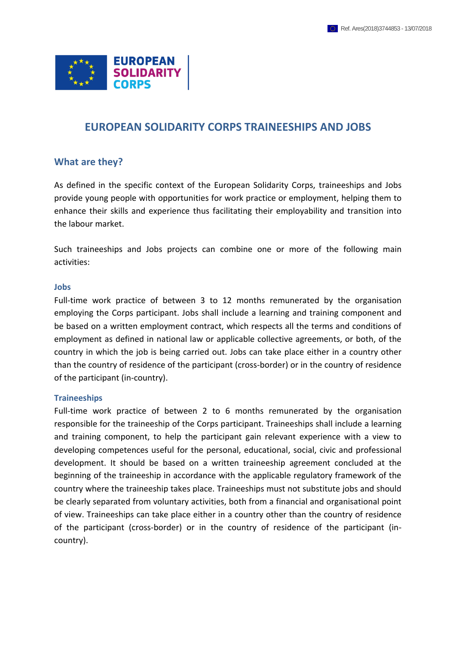

## **EUROPEAN SOLIDARITY CORPS TRAINEESHIPS AND JOBS**

#### **What are they?**

As defined in the specific context of the European Solidarity Corps, traineeships and Jobs provide young people with opportunities for work practice or employment, helping them to enhance their skills and experience thus facilitating their employability and transition into the labour market.

Such traineeships and Jobs projects can combine one or more of the following main activities:

#### **Jobs**

Full-time work practice of between 3 to 12 months remunerated by the organisation employing the Corps participant. Jobs shall include a learning and training component and be based on a written employment contract, which respects all the terms and conditions of employment as defined in national law or applicable collective agreements, or both, of the country in which the job is being carried out. Jobs can take place either in a country other than the country of residence of the participant (cross-border) or in the country of residence of the participant (in-country).

#### **Traineeships**

Full-time work practice of between 2 to 6 months remunerated by the organisation responsible for the traineeship of the Corps participant. Traineeships shall include a learning and training component, to help the participant gain relevant experience with a view to developing competences useful for the personal, educational, social, civic and professional development. It should be based on a written traineeship agreement concluded at the beginning of the traineeship in accordance with the applicable regulatory framework of the country where the traineeship takes place. Traineeships must not substitute jobs and should be clearly separated from voluntary activities, both from a financial and organisational point of view. Traineeships can take place either in a country other than the country of residence of the participant (cross-border) or in the country of residence of the participant (incountry).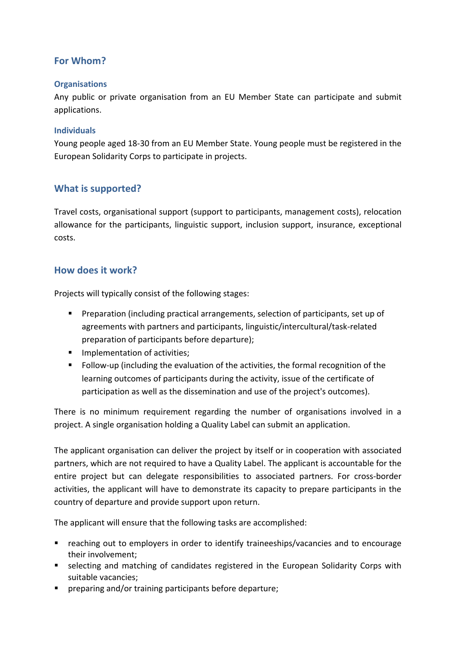## **For Whom?**

#### **Organisations**

Any public or private organisation from an EU Member State can participate and submit applications.

#### **Individuals**

Young people aged 18-30 from an EU Member State. Young people must be registered in the European Solidarity Corps to participate in projects.

### **What is supported?**

Travel costs, organisational support (support to participants, management costs), relocation allowance for the participants, linguistic support, inclusion support, insurance, exceptional costs.

### **How does it work?**

Projects will typically consist of the following stages:

- Preparation (including practical arrangements, selection of participants, set up of agreements with partners and participants, linguistic/intercultural/task-related preparation of participants before departure);
- **IMPLEMENTER INCOCO EXCITED** Implementation of activities;
- Follow-up (including the evaluation of the activities, the formal recognition of the learning outcomes of participants during the activity, issue of the certificate of participation as well as the dissemination and use of the project's outcomes).

There is no minimum requirement regarding the number of organisations involved in a project. A single organisation holding a Quality Label can submit an application.

The applicant organisation can deliver the project by itself or in cooperation with associated partners, which are not required to have a Quality Label. The applicant is accountable for the entire project but can delegate responsibilities to associated partners. For cross-border activities, the applicant will have to demonstrate its capacity to prepare participants in the country of departure and provide support upon return.

The applicant will ensure that the following tasks are accomplished:

- reaching out to employers in order to identify traineeships/vacancies and to encourage their involvement;
- **E** selecting and matching of candidates registered in the European Solidarity Corps with suitable vacancies;
- **Perior 1** preparing and/or training participants before departure;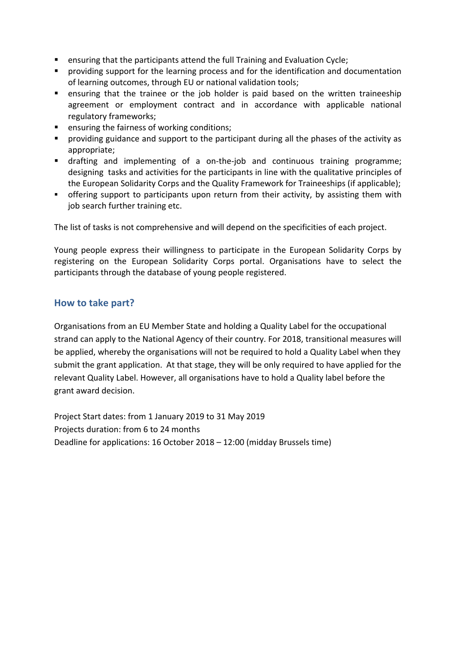- **E** ensuring that the participants attend the full Training and Evaluation Cycle;
- **P** providing support for the learning process and for the identification and documentation of learning outcomes, through EU or national validation tools;
- ensuring that the trainee or the job holder is paid based on the written traineeship agreement or employment contract and in accordance with applicable national regulatory frameworks;
- **E** ensuring the fairness of working conditions;
- **Peroviding guidance and support to the participant during all the phases of the activity as** appropriate;
- drafting and implementing of a on-the-job and continuous training programme; designing tasks and activities for the participants in line with the qualitative principles of the European Solidarity Corps and the Quality Framework for Traineeships (if applicable);
- offering support to participants upon return from their activity, by assisting them with job search further training etc.

The list of tasks is not comprehensive and will depend on the specificities of each project.

Young people express their willingness to participate in the European Solidarity Corps by registering on [the European Solidarity Corps portal.](https://europa.eu/youth/solidarity_en) Organisations have to select the participants through the database of young people registered.

### **How to take part?**

Organisations from an EU Member State and holding a Quality Label for the occupational strand can apply to the National Agency of their country. For 2018, transitional measures will be applied, whereby the organisations will not be required to hold a Quality Label when they submit the grant application. At that stage, they will be only required to have applied for the relevant Quality Label. However, all organisations have to hold a Quality label before the grant award decision.

Project Start dates: from 1 January 2019 to 31 May 2019 Projects duration: from 6 to 24 months Deadline for applications: 16 October 2018 – 12:00 (midday Brussels time)